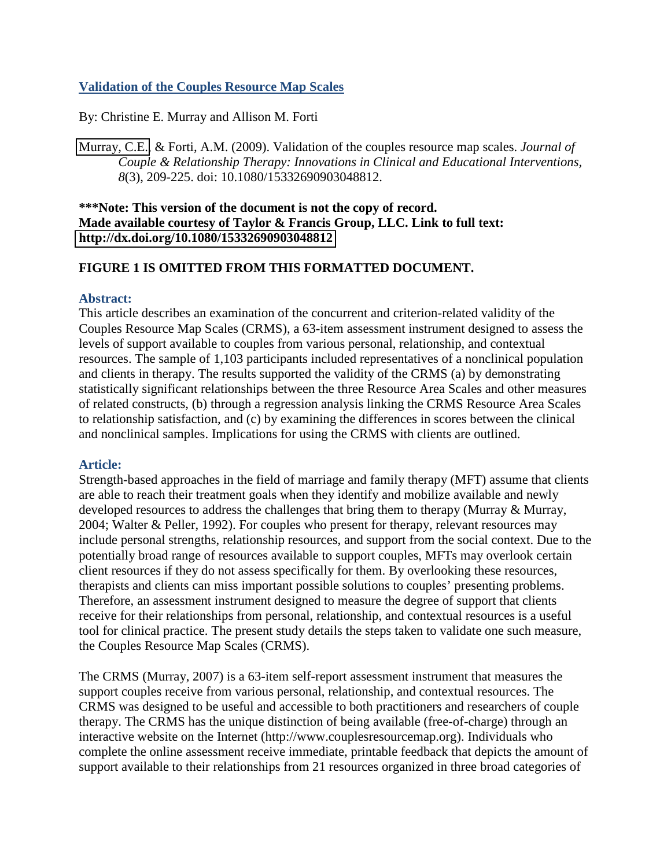# **Validation of the Couples Resource Map Scales**

By: Christine E. Murray and Allison M. Forti

[Murray, C.E.,](http://libres.uncg.edu/ir/clist.aspx?id=894) & Forti, A.M. (2009). Validation of the couples resource map scales. *Journal of Couple & Relationship Therapy: Innovations in Clinical and Educational Interventions, 8*(3), 209-225. doi: 10.1080/15332690903048812.

## **\*\*\*Note: This version of the document is not the copy of record. Made available courtesy of Taylor & Francis Group, LLC. Link to full text: <http://dx.doi.org/10.1080/15332690903048812>**

# **FIGURE 1 IS OMITTED FROM THIS FORMATTED DOCUMENT.**

### **Abstract:**

This article describes an examination of the concurrent and criterion-related validity of the Couples Resource Map Scales (CRMS), a 63-item assessment instrument designed to assess the levels of support available to couples from various personal, relationship, and contextual resources. The sample of 1,103 participants included representatives of a nonclinical population and clients in therapy. The results supported the validity of the CRMS (a) by demonstrating statistically significant relationships between the three Resource Area Scales and other measures of related constructs, (b) through a regression analysis linking the CRMS Resource Area Scales to relationship satisfaction, and (c) by examining the differences in scores between the clinical and nonclinical samples. Implications for using the CRMS with clients are outlined.

# **Article:**

Strength-based approaches in the field of marriage and family therapy (MFT) assume that clients are able to reach their treatment goals when they identify and mobilize available and newly developed resources to address the challenges that bring them to therapy (Murray & Murray, 2004; Walter & Peller, 1992). For couples who present for therapy, relevant resources may include personal strengths, relationship resources, and support from the social context. Due to the potentially broad range of resources available to support couples, MFTs may overlook certain client resources if they do not assess specifically for them. By overlooking these resources, therapists and clients can miss important possible solutions to couples' presenting problems. Therefore, an assessment instrument designed to measure the degree of support that clients receive for their relationships from personal, relationship, and contextual resources is a useful tool for clinical practice. The present study details the steps taken to validate one such measure, the Couples Resource Map Scales (CRMS).

The CRMS (Murray, 2007) is a 63-item self-report assessment instrument that measures the support couples receive from various personal, relationship, and contextual resources. The CRMS was designed to be useful and accessible to both practitioners and researchers of couple therapy. The CRMS has the unique distinction of being available (free-of-charge) through an interactive website on the Internet (http://www.couplesresourcemap.org). Individuals who complete the online assessment receive immediate, printable feedback that depicts the amount of support available to their relationships from 21 resources organized in three broad categories of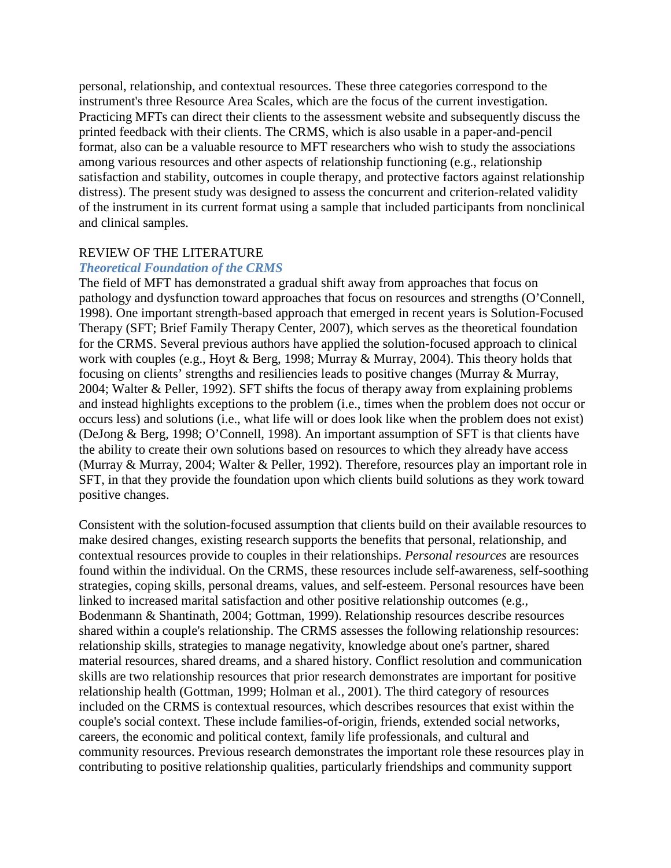personal, relationship, and contextual resources. These three categories correspond to the instrument's three Resource Area Scales, which are the focus of the current investigation. Practicing MFTs can direct their clients to the assessment website and subsequently discuss the printed feedback with their clients. The CRMS, which is also usable in a paper-and-pencil format, also can be a valuable resource to MFT researchers who wish to study the associations among various resources and other aspects of relationship functioning (e.g., relationship satisfaction and stability, outcomes in couple therapy, and protective factors against relationship distress). The present study was designed to assess the concurrent and criterion-related validity of the instrument in its current format using a sample that included participants from nonclinical and clinical samples.

## REVIEW OF THE LITERATURE

#### *Theoretical Foundation of the CRMS*

The field of MFT has demonstrated a gradual shift away from approaches that focus on pathology and dysfunction toward approaches that focus on resources and strengths (O'Connell, 1998). One important strength-based approach that emerged in recent years is Solution-Focused Therapy (SFT; Brief Family Therapy Center, 2007), which serves as the theoretical foundation for the CRMS. Several previous authors have applied the solution-focused approach to clinical work with couples (e.g., Hoyt & Berg, 1998; Murray & Murray, 2004). This theory holds that focusing on clients' strengths and resiliencies leads to positive changes (Murray & Murray, 2004; Walter & Peller, 1992). SFT shifts the focus of therapy away from explaining problems and instead highlights exceptions to the problem (i.e., times when the problem does not occur or occurs less) and solutions (i.e., what life will or does look like when the problem does not exist) (DeJong & Berg, 1998; O'Connell, 1998). An important assumption of SFT is that clients have the ability to create their own solutions based on resources to which they already have access (Murray & Murray, 2004; Walter & Peller, 1992). Therefore, resources play an important role in SFT, in that they provide the foundation upon which clients build solutions as they work toward positive changes.

Consistent with the solution-focused assumption that clients build on their available resources to make desired changes, existing research supports the benefits that personal, relationship, and contextual resources provide to couples in their relationships. *Personal resources* are resources found within the individual. On the CRMS, these resources include self-awareness, self-soothing strategies, coping skills, personal dreams, values, and self-esteem. Personal resources have been linked to increased marital satisfaction and other positive relationship outcomes (e.g., Bodenmann & Shantinath, 2004; Gottman, 1999). Relationship resources describe resources shared within a couple's relationship. The CRMS assesses the following relationship resources: relationship skills, strategies to manage negativity, knowledge about one's partner, shared material resources, shared dreams, and a shared history. Conflict resolution and communication skills are two relationship resources that prior research demonstrates are important for positive relationship health (Gottman, 1999; Holman et al., 2001). The third category of resources included on the CRMS is contextual resources, which describes resources that exist within the couple's social context. These include families-of-origin, friends, extended social networks, careers, the economic and political context, family life professionals, and cultural and community resources. Previous research demonstrates the important role these resources play in contributing to positive relationship qualities, particularly friendships and community support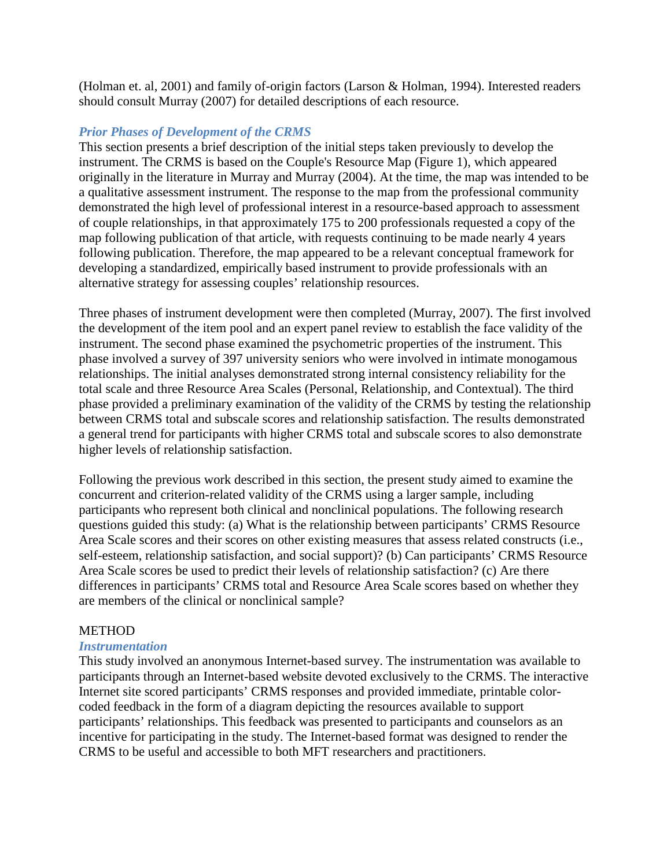(Holman et. al, 2001) and family of-origin factors (Larson & Holman, 1994). Interested readers should consult Murray (2007) for detailed descriptions of each resource.

### *Prior Phases of Development of the CRMS*

This section presents a brief description of the initial steps taken previously to develop the instrument. The CRMS is based on the Couple's Resource Map (Figure 1), which appeared originally in the literature in Murray and Murray (2004). At the time, the map was intended to be a qualitative assessment instrument. The response to the map from the professional community demonstrated the high level of professional interest in a resource-based approach to assessment of couple relationships, in that approximately 175 to 200 professionals requested a copy of the map following publication of that article, with requests continuing to be made nearly 4 years following publication. Therefore, the map appeared to be a relevant conceptual framework for developing a standardized, empirically based instrument to provide professionals with an alternative strategy for assessing couples' relationship resources.

Three phases of instrument development were then completed (Murray, 2007). The first involved the development of the item pool and an expert panel review to establish the face validity of the instrument. The second phase examined the psychometric properties of the instrument. This phase involved a survey of 397 university seniors who were involved in intimate monogamous relationships. The initial analyses demonstrated strong internal consistency reliability for the total scale and three Resource Area Scales (Personal, Relationship, and Contextual). The third phase provided a preliminary examination of the validity of the CRMS by testing the relationship between CRMS total and subscale scores and relationship satisfaction. The results demonstrated a general trend for participants with higher CRMS total and subscale scores to also demonstrate higher levels of relationship satisfaction.

Following the previous work described in this section, the present study aimed to examine the concurrent and criterion-related validity of the CRMS using a larger sample, including participants who represent both clinical and nonclinical populations. The following research questions guided this study: (a) What is the relationship between participants' CRMS Resource Area Scale scores and their scores on other existing measures that assess related constructs (i.e., self-esteem, relationship satisfaction, and social support)? (b) Can participants' CRMS Resource Area Scale scores be used to predict their levels of relationship satisfaction? (c) Are there differences in participants' CRMS total and Resource Area Scale scores based on whether they are members of the clinical or nonclinical sample?

#### **METHOD**

#### *Instrumentation*

This study involved an anonymous Internet-based survey. The instrumentation was available to participants through an Internet-based website devoted exclusively to the CRMS. The interactive Internet site scored participants' CRMS responses and provided immediate, printable colorcoded feedback in the form of a diagram depicting the resources available to support participants' relationships. This feedback was presented to participants and counselors as an incentive for participating in the study. The Internet-based format was designed to render the CRMS to be useful and accessible to both MFT researchers and practitioners.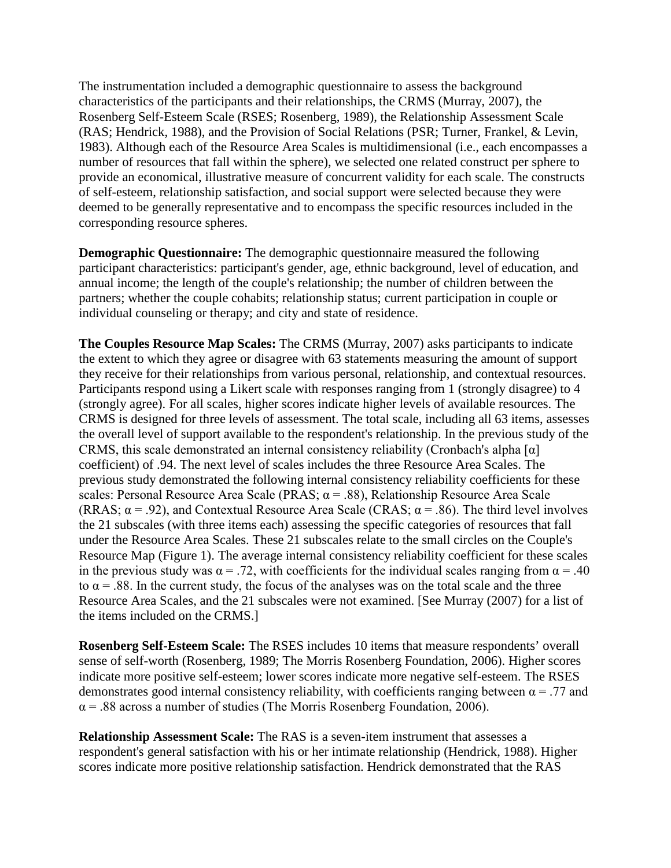The instrumentation included a demographic questionnaire to assess the background characteristics of the participants and their relationships, the CRMS (Murray, 2007), the Rosenberg Self-Esteem Scale (RSES; Rosenberg, 1989), the Relationship Assessment Scale (RAS; Hendrick, 1988), and the Provision of Social Relations (PSR; Turner, Frankel, & Levin, 1983). Although each of the Resource Area Scales is multidimensional (i.e., each encompasses a number of resources that fall within the sphere), we selected one related construct per sphere to provide an economical, illustrative measure of concurrent validity for each scale. The constructs of self-esteem, relationship satisfaction, and social support were selected because they were deemed to be generally representative and to encompass the specific resources included in the corresponding resource spheres.

**Demographic Questionnaire:** The demographic questionnaire measured the following participant characteristics: participant's gender, age, ethnic background, level of education, and annual income; the length of the couple's relationship; the number of children between the partners; whether the couple cohabits; relationship status; current participation in couple or individual counseling or therapy; and city and state of residence.

**The Couples Resource Map Scales:** The CRMS (Murray, 2007) asks participants to indicate the extent to which they agree or disagree with 63 statements measuring the amount of support they receive for their relationships from various personal, relationship, and contextual resources. Participants respond using a Likert scale with responses ranging from 1 (strongly disagree) to 4 (strongly agree). For all scales, higher scores indicate higher levels of available resources. The CRMS is designed for three levels of assessment. The total scale, including all 63 items, assesses the overall level of support available to the respondent's relationship. In the previous study of the CRMS, this scale demonstrated an internal consistency reliability (Cronbach's alpha [α] coefficient) of .94. The next level of scales includes the three Resource Area Scales. The previous study demonstrated the following internal consistency reliability coefficients for these scales: Personal Resource Area Scale (PRAS;  $\alpha$  = .88), Relationship Resource Area Scale (RRAS;  $\alpha$  = .92), and Contextual Resource Area Scale (CRAS;  $\alpha$  = .86). The third level involves the 21 subscales (with three items each) assessing the specific categories of resources that fall under the Resource Area Scales. These 21 subscales relate to the small circles on the Couple's Resource Map (Figure 1). The average internal consistency reliability coefficient for these scales in the previous study was  $\alpha = .72$ , with coefficients for the individual scales ranging from  $\alpha = .40$ to  $\alpha$  = .88. In the current study, the focus of the analyses was on the total scale and the three Resource Area Scales, and the 21 subscales were not examined. [See Murray (2007) for a list of the items included on the CRMS.]

**Rosenberg Self-Esteem Scale:** The RSES includes 10 items that measure respondents' overall sense of self-worth (Rosenberg, 1989; The Morris Rosenberg Foundation, 2006). Higher scores indicate more positive self-esteem; lower scores indicate more negative self-esteem. The RSES demonstrates good internal consistency reliability, with coefficients ranging between  $\alpha = .77$  and  $\alpha$  = .88 across a number of studies (The Morris Rosenberg Foundation, 2006).

**Relationship Assessment Scale:** The RAS is a seven-item instrument that assesses a respondent's general satisfaction with his or her intimate relationship (Hendrick, 1988). Higher scores indicate more positive relationship satisfaction. Hendrick demonstrated that the RAS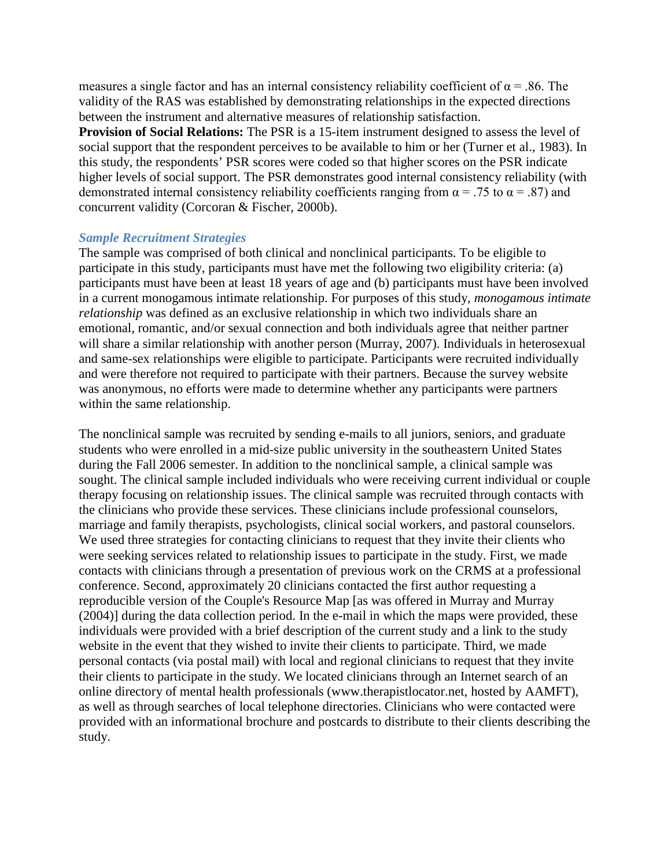measures a single factor and has an internal consistency reliability coefficient of  $\alpha$  = .86. The validity of the RAS was established by demonstrating relationships in the expected directions between the instrument and alternative measures of relationship satisfaction.

**Provision of Social Relations:** The PSR is a 15-item instrument designed to assess the level of social support that the respondent perceives to be available to him or her (Turner et al., 1983). In this study, the respondents' PSR scores were coded so that higher scores on the PSR indicate higher levels of social support. The PSR demonstrates good internal consistency reliability (with demonstrated internal consistency reliability coefficients ranging from  $\alpha$  = .75 to  $\alpha$  = .87) and concurrent validity (Corcoran & Fischer, 2000b).

#### *Sample Recruitment Strategies*

The sample was comprised of both clinical and nonclinical participants. To be eligible to participate in this study, participants must have met the following two eligibility criteria: (a) participants must have been at least 18 years of age and (b) participants must have been involved in a current monogamous intimate relationship. For purposes of this study, *monogamous intimate relationship* was defined as an exclusive relationship in which two individuals share an emotional, romantic, and/or sexual connection and both individuals agree that neither partner will share a similar relationship with another person (Murray, 2007). Individuals in heterosexual and same-sex relationships were eligible to participate. Participants were recruited individually and were therefore not required to participate with their partners. Because the survey website was anonymous, no efforts were made to determine whether any participants were partners within the same relationship.

The nonclinical sample was recruited by sending e-mails to all juniors, seniors, and graduate students who were enrolled in a mid-size public university in the southeastern United States during the Fall 2006 semester. In addition to the nonclinical sample, a clinical sample was sought. The clinical sample included individuals who were receiving current individual or couple therapy focusing on relationship issues. The clinical sample was recruited through contacts with the clinicians who provide these services. These clinicians include professional counselors, marriage and family therapists, psychologists, clinical social workers, and pastoral counselors. We used three strategies for contacting clinicians to request that they invite their clients who were seeking services related to relationship issues to participate in the study. First, we made contacts with clinicians through a presentation of previous work on the CRMS at a professional conference. Second, approximately 20 clinicians contacted the first author requesting a reproducible version of the Couple's Resource Map [as was offered in Murray and Murray (2004)] during the data collection period. In the e-mail in which the maps were provided, these individuals were provided with a brief description of the current study and a link to the study website in the event that they wished to invite their clients to participate. Third, we made personal contacts (via postal mail) with local and regional clinicians to request that they invite their clients to participate in the study. We located clinicians through an Internet search of an online directory of mental health professionals (www.therapistlocator.net, hosted by AAMFT), as well as through searches of local telephone directories. Clinicians who were contacted were provided with an informational brochure and postcards to distribute to their clients describing the study.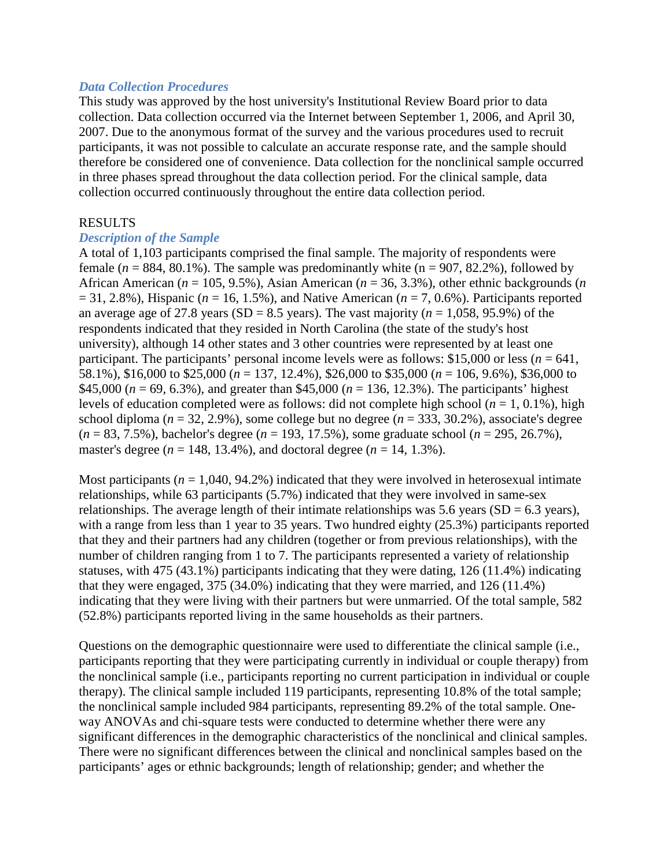#### *Data Collection Procedures*

This study was approved by the host university's Institutional Review Board prior to data collection. Data collection occurred via the Internet between September 1, 2006, and April 30, 2007. Due to the anonymous format of the survey and the various procedures used to recruit participants, it was not possible to calculate an accurate response rate, and the sample should therefore be considered one of convenience. Data collection for the nonclinical sample occurred in three phases spread throughout the data collection period. For the clinical sample, data collection occurred continuously throughout the entire data collection period.

### RESULTS

### *Description of the Sample*

A total of 1,103 participants comprised the final sample. The majority of respondents were female ( $n = 884, 80.1\%$ ). The sample was predominantly white ( $n = 907, 82.2\%$ ), followed by African American (*n* = 105, 9.5%), Asian American (*n* = 36, 3.3%), other ethnic backgrounds (*n*  $= 31, 2.8\%$ ), Hispanic ( $n = 16, 1.5\%$ ), and Native American ( $n = 7, 0.6\%$ ). Participants reported an average age of 27.8 years (SD = 8.5 years). The vast majority ( $n = 1,058, 95.9\%$ ) of the respondents indicated that they resided in North Carolina (the state of the study's host university), although 14 other states and 3 other countries were represented by at least one participant. The participants' personal income levels were as follows: \$15,000 or less ( $n = 641$ , 58.1%), \$16,000 to \$25,000 (*n* = 137, 12.4%), \$26,000 to \$35,000 (*n* = 106, 9.6%), \$36,000 to \$45,000 ( $n = 69$ , 6.3%), and greater than \$45,000 ( $n = 136$ , 12.3%). The participants' highest levels of education completed were as follows: did not complete high school  $(n = 1, 0.1\%)$ , high school diploma ( $n = 32, 2.9\%$ ), some college but no degree ( $n = 333, 30.2\%$ ), associate's degree (*n* = 83, 7.5%), bachelor's degree (*n* = 193, 17.5%), some graduate school (*n* = 295, 26.7%), master's degree ( $n = 148, 13.4\%$ ), and doctoral degree ( $n = 14, 1.3\%$ ).

Most participants  $(n = 1,040, 94.2\%)$  indicated that they were involved in heterosexual intimate relationships, while 63 participants (5.7%) indicated that they were involved in same-sex relationships. The average length of their intimate relationships was 5.6 years (SD =  $6.3$  years), with a range from less than 1 year to 35 years. Two hundred eighty (25.3%) participants reported that they and their partners had any children (together or from previous relationships), with the number of children ranging from 1 to 7. The participants represented a variety of relationship statuses, with 475 (43.1%) participants indicating that they were dating, 126 (11.4%) indicating that they were engaged, 375 (34.0%) indicating that they were married, and 126 (11.4%) indicating that they were living with their partners but were unmarried. Of the total sample, 582 (52.8%) participants reported living in the same households as their partners.

Questions on the demographic questionnaire were used to differentiate the clinical sample (i.e., participants reporting that they were participating currently in individual or couple therapy) from the nonclinical sample (i.e., participants reporting no current participation in individual or couple therapy). The clinical sample included 119 participants, representing 10.8% of the total sample; the nonclinical sample included 984 participants, representing 89.2% of the total sample. Oneway ANOVAs and chi-square tests were conducted to determine whether there were any significant differences in the demographic characteristics of the nonclinical and clinical samples. There were no significant differences between the clinical and nonclinical samples based on the participants' ages or ethnic backgrounds; length of relationship; gender; and whether the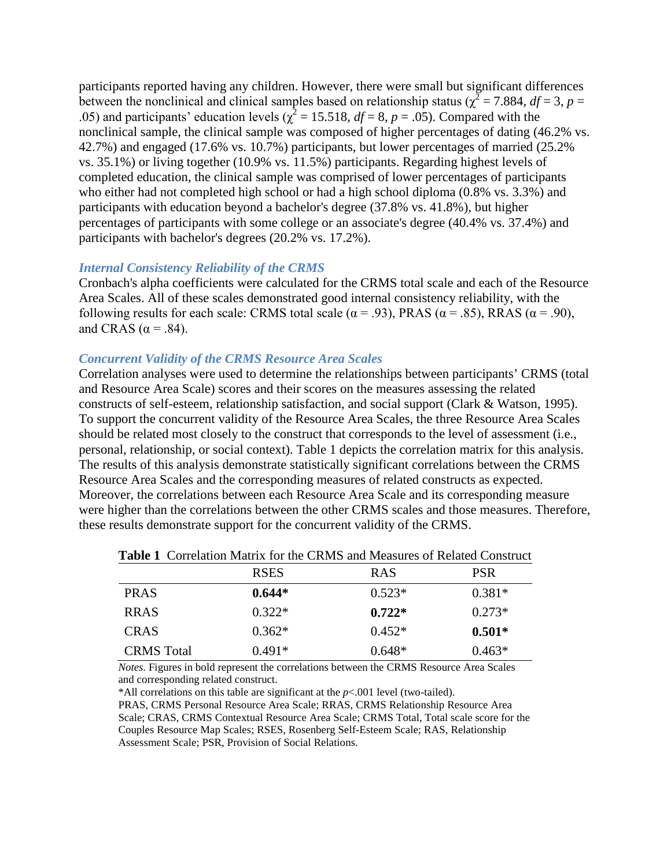participants reported having any children. However, there were small but significant differences between the nonclinical and clinical samples based on relationship status ( $\chi^2$  = 7.884, *df* = 3, *p* = .05) and participants' education levels ( $\chi^2$  = 15.518, *df* = 8, *p* = .05). Compared with the nonclinical sample, the clinical sample was composed of higher percentages of dating (46.2% vs. 42.7%) and engaged (17.6% vs. 10.7%) participants, but lower percentages of married (25.2% vs. 35.1%) or living together (10.9% vs. 11.5%) participants. Regarding highest levels of completed education, the clinical sample was comprised of lower percentages of participants who either had not completed high school or had a high school diploma (0.8% vs. 3.3%) and participants with education beyond a bachelor's degree (37.8% vs. 41.8%), but higher percentages of participants with some college or an associate's degree (40.4% vs. 37.4%) and participants with bachelor's degrees (20.2% vs. 17.2%).

### *Internal Consistency Reliability of the CRMS*

Cronbach's alpha coefficients were calculated for the CRMS total scale and each of the Resource Area Scales. All of these scales demonstrated good internal consistency reliability, with the following results for each scale: CRMS total scale ( $\alpha$  = .93), PRAS ( $\alpha$  = .85), RRAS ( $\alpha$  = .90), and CRAS ( $\alpha$  = .84).

### *Concurrent Validity of the CRMS Resource Area Scales*

Correlation analyses were used to determine the relationships between participants' CRMS (total and Resource Area Scale) scores and their scores on the measures assessing the related constructs of self-esteem, relationship satisfaction, and social support (Clark & Watson, 1995). To support the concurrent validity of the Resource Area Scales, the three Resource Area Scales should be related most closely to the construct that corresponds to the level of assessment (i.e., personal, relationship, or social context). Table 1 depicts the correlation matrix for this analysis. The results of this analysis demonstrate statistically significant correlations between the CRMS Resource Area Scales and the corresponding measures of related constructs as expected. Moreover, the correlations between each Resource Area Scale and its corresponding measure were higher than the correlations between the other CRMS scales and those measures. Therefore, these results demonstrate support for the concurrent validity of the CRMS.

| THUR T CONDITION NEWSLET TO THE CLUB MICHAEL MEMORICS OF TECHNOLOGY |             |            |          |  |  |
|---------------------------------------------------------------------|-------------|------------|----------|--|--|
|                                                                     | <b>RSES</b> | <b>RAS</b> | PSR      |  |  |
| <b>PRAS</b>                                                         | $0.644*$    | $0.523*$   | $0.381*$ |  |  |
| <b>RRAS</b>                                                         | $0.322*$    | $0.722*$   | $0.273*$ |  |  |
| <b>CRAS</b>                                                         | $0.362*$    | $0.452*$   | $0.501*$ |  |  |
| <b>CRMS</b> Total                                                   | $0.491*$    | $0.648*$   | $0.463*$ |  |  |

**Table 1** Correlation Matrix for the CRMS and Measures of Related Construct

*Notes.* Figures in bold represent the correlations between the CRMS Resource Area Scales and corresponding related construct.

\*All correlations on this table are significant at the *p*<.001 level (two-tailed).

PRAS, CRMS Personal Resource Area Scale; RRAS, CRMS Relationship Resource Area Scale; CRAS, CRMS Contextual Resource Area Scale; CRMS Total, Total scale score for the Couples Resource Map Scales; RSES, Rosenberg Self-Esteem Scale; RAS, Relationship Assessment Scale; PSR, Provision of Social Relations.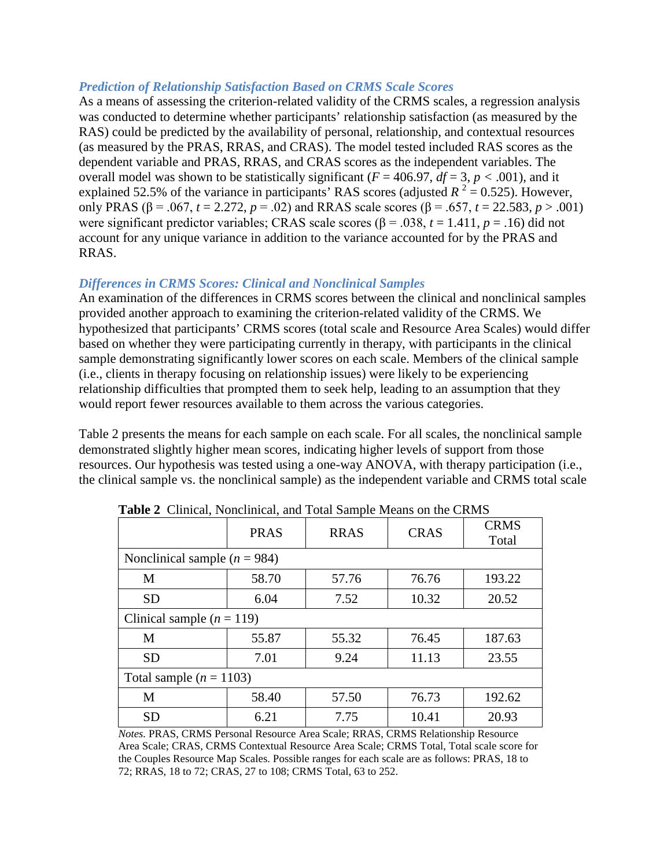### *Prediction of Relationship Satisfaction Based on CRMS Scale Scores*

As a means of assessing the criterion-related validity of the CRMS scales, a regression analysis was conducted to determine whether participants' relationship satisfaction (as measured by the RAS) could be predicted by the availability of personal, relationship, and contextual resources (as measured by the PRAS, RRAS, and CRAS). The model tested included RAS scores as the dependent variable and PRAS, RRAS, and CRAS scores as the independent variables. The overall model was shown to be statistically significant ( $F = 406.97$ ,  $df = 3$ ,  $p < .001$ ), and it explained 52.5% of the variance in participants' RAS scores (adjusted  $R^2 = 0.525$ ). However, only PRAS (β = .067, *t* = 2.272, *p* = .02) and RRAS scale scores (β = .657, *t* = 22.583, *p* > .001) were significant predictor variables; CRAS scale scores ( $\beta$  = .038, *t* = 1.411, *p* = .16) did not account for any unique variance in addition to the variance accounted for by the PRAS and RRAS.

### *Differences in CRMS Scores: Clinical and Nonclinical Samples*

An examination of the differences in CRMS scores between the clinical and nonclinical samples provided another approach to examining the criterion-related validity of the CRMS. We hypothesized that participants' CRMS scores (total scale and Resource Area Scales) would differ based on whether they were participating currently in therapy, with participants in the clinical sample demonstrating significantly lower scores on each scale. Members of the clinical sample (i.e., clients in therapy focusing on relationship issues) were likely to be experiencing relationship difficulties that prompted them to seek help, leading to an assumption that they would report fewer resources available to them across the various categories.

Table 2 presents the means for each sample on each scale. For all scales, the nonclinical sample demonstrated slightly higher mean scores, indicating higher levels of support from those resources. Our hypothesis was tested using a one-way ANOVA, with therapy participation (i.e., the clinical sample vs. the nonclinical sample) as the independent variable and CRMS total scale

|                                  | <b>PRAS</b> | <b>RRAS</b> | <b>CRAS</b> | <b>CRMS</b><br>Total |  |  |
|----------------------------------|-------------|-------------|-------------|----------------------|--|--|
| Nonclinical sample ( $n = 984$ ) |             |             |             |                      |  |  |
| M                                | 58.70       | 57.76       | 76.76       | 193.22               |  |  |
| <b>SD</b>                        | 6.04        | 7.52        | 10.32       | 20.52                |  |  |
| Clinical sample $(n = 119)$      |             |             |             |                      |  |  |
| M                                | 55.87       | 55.32       | 76.45       | 187.63               |  |  |
| <b>SD</b>                        | 7.01        | 9.24        | 11.13       | 23.55                |  |  |
| Total sample ( $n = 1103$ )      |             |             |             |                      |  |  |
| M                                | 58.40       | 57.50       | 76.73       | 192.62               |  |  |
| <b>SD</b>                        | 6.21        | 7.75        | 10.41       | 20.93                |  |  |

**Table 2** Clinical, Nonclinical, and Total Sample Means on the CRMS

*Notes.* PRAS, CRMS Personal Resource Area Scale; RRAS, CRMS Relationship Resource Area Scale; CRAS, CRMS Contextual Resource Area Scale; CRMS Total, Total scale score for the Couples Resource Map Scales. Possible ranges for each scale are as follows: PRAS, 18 to 72; RRAS, 18 to 72; CRAS, 27 to 108; CRMS Total, 63 to 252.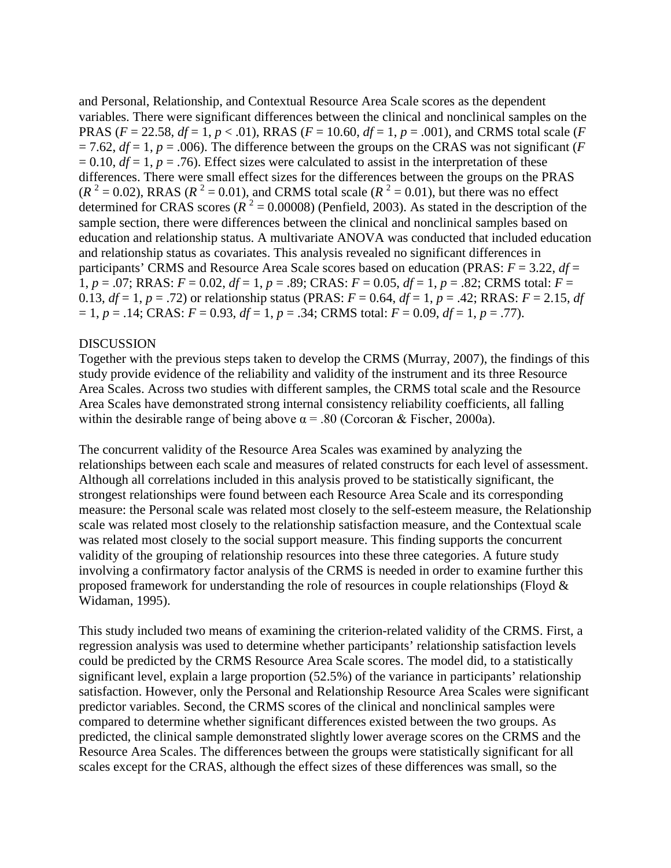and Personal, Relationship, and Contextual Resource Area Scale scores as the dependent variables. There were significant differences between the clinical and nonclinical samples on the PRAS (*F* = 22.58, *df* = 1, *p* < .01), RRAS (*F* = 10.60, *df* = 1, *p* = .001), and CRMS total scale (*F*  $= 7.62$ ,  $df = 1$ ,  $p = .006$ ). The difference between the groups on the CRAS was not significant (*F*  $= 0.10$ ,  $df = 1$ ,  $p = .76$ ). Effect sizes were calculated to assist in the interpretation of these differences. There were small effect sizes for the differences between the groups on the PRAS  $(R^2 = 0.02)$ , RRAS  $(R^2 = 0.01)$ , and CRMS total scale  $(R^2 = 0.01)$ , but there was no effect determined for CRAS scores ( $R^2 = 0.00008$ ) (Penfield, 2003). As stated in the description of the sample section, there were differences between the clinical and nonclinical samples based on education and relationship status. A multivariate ANOVA was conducted that included education and relationship status as covariates. This analysis revealed no significant differences in participants' CRMS and Resource Area Scale scores based on education (PRAS: *F* = 3.22, *df* = 1, *p* = .07; RRAS: *F* = 0.02, *df* = 1, *p* = .89; CRAS: *F* = 0.05, *df* = 1, *p* = .82; CRMS total: *F* = 0.13,  $df = 1$ ,  $p = .72$ ) or relationship status (PRAS:  $F = 0.64$ ,  $df = 1$ ,  $p = .42$ ; RRAS:  $F = 2.15$ ,  $df$  $= 1, p = .14$ ; CRAS:  $F = 0.93$ ,  $df = 1, p = .34$ ; CRMS total:  $F = 0.09$ ,  $df = 1, p = .77$ ).

# DISCUSSION

Together with the previous steps taken to develop the CRMS (Murray, 2007), the findings of this study provide evidence of the reliability and validity of the instrument and its three Resource Area Scales. Across two studies with different samples, the CRMS total scale and the Resource Area Scales have demonstrated strong internal consistency reliability coefficients, all falling within the desirable range of being above  $\alpha = 0.80$  (Corcoran & Fischer, 2000a).

The concurrent validity of the Resource Area Scales was examined by analyzing the relationships between each scale and measures of related constructs for each level of assessment. Although all correlations included in this analysis proved to be statistically significant, the strongest relationships were found between each Resource Area Scale and its corresponding measure: the Personal scale was related most closely to the self-esteem measure, the Relationship scale was related most closely to the relationship satisfaction measure, and the Contextual scale was related most closely to the social support measure. This finding supports the concurrent validity of the grouping of relationship resources into these three categories. A future study involving a confirmatory factor analysis of the CRMS is needed in order to examine further this proposed framework for understanding the role of resources in couple relationships (Floyd & Widaman, 1995).

This study included two means of examining the criterion-related validity of the CRMS. First, a regression analysis was used to determine whether participants' relationship satisfaction levels could be predicted by the CRMS Resource Area Scale scores. The model did, to a statistically significant level, explain a large proportion (52.5%) of the variance in participants' relationship satisfaction. However, only the Personal and Relationship Resource Area Scales were significant predictor variables. Second, the CRMS scores of the clinical and nonclinical samples were compared to determine whether significant differences existed between the two groups. As predicted, the clinical sample demonstrated slightly lower average scores on the CRMS and the Resource Area Scales. The differences between the groups were statistically significant for all scales except for the CRAS, although the effect sizes of these differences was small, so the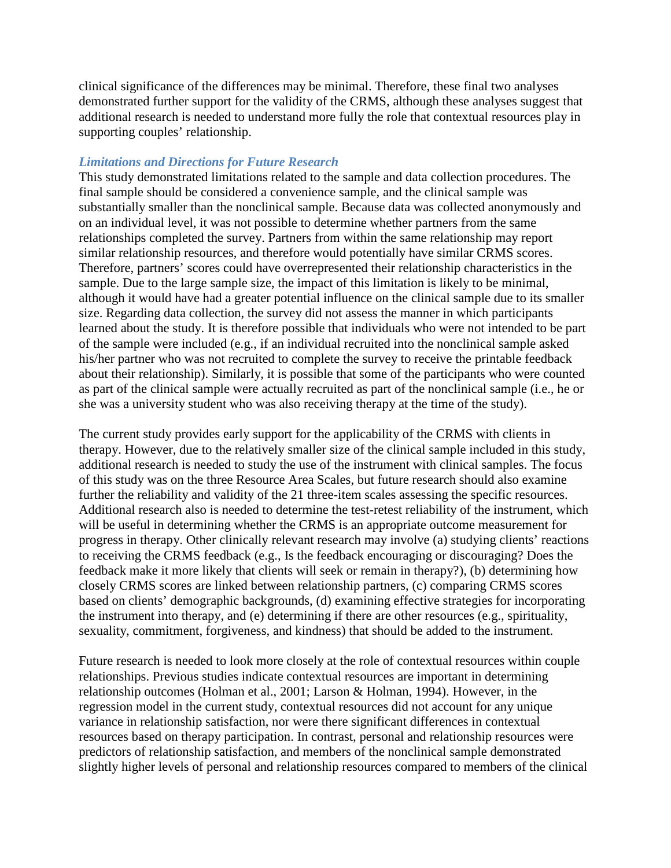clinical significance of the differences may be minimal. Therefore, these final two analyses demonstrated further support for the validity of the CRMS, although these analyses suggest that additional research is needed to understand more fully the role that contextual resources play in supporting couples' relationship.

#### *Limitations and Directions for Future Research*

This study demonstrated limitations related to the sample and data collection procedures. The final sample should be considered a convenience sample, and the clinical sample was substantially smaller than the nonclinical sample. Because data was collected anonymously and on an individual level, it was not possible to determine whether partners from the same relationships completed the survey. Partners from within the same relationship may report similar relationship resources, and therefore would potentially have similar CRMS scores. Therefore, partners' scores could have overrepresented their relationship characteristics in the sample. Due to the large sample size, the impact of this limitation is likely to be minimal, although it would have had a greater potential influence on the clinical sample due to its smaller size. Regarding data collection, the survey did not assess the manner in which participants learned about the study. It is therefore possible that individuals who were not intended to be part of the sample were included (e.g., if an individual recruited into the nonclinical sample asked his/her partner who was not recruited to complete the survey to receive the printable feedback about their relationship). Similarly, it is possible that some of the participants who were counted as part of the clinical sample were actually recruited as part of the nonclinical sample (i.e., he or she was a university student who was also receiving therapy at the time of the study).

The current study provides early support for the applicability of the CRMS with clients in therapy. However, due to the relatively smaller size of the clinical sample included in this study, additional research is needed to study the use of the instrument with clinical samples. The focus of this study was on the three Resource Area Scales, but future research should also examine further the reliability and validity of the 21 three-item scales assessing the specific resources. Additional research also is needed to determine the test-retest reliability of the instrument, which will be useful in determining whether the CRMS is an appropriate outcome measurement for progress in therapy. Other clinically relevant research may involve (a) studying clients' reactions to receiving the CRMS feedback (e.g., Is the feedback encouraging or discouraging? Does the feedback make it more likely that clients will seek or remain in therapy?), (b) determining how closely CRMS scores are linked between relationship partners, (c) comparing CRMS scores based on clients' demographic backgrounds, (d) examining effective strategies for incorporating the instrument into therapy, and (e) determining if there are other resources (e.g., spirituality, sexuality, commitment, forgiveness, and kindness) that should be added to the instrument.

Future research is needed to look more closely at the role of contextual resources within couple relationships. Previous studies indicate contextual resources are important in determining relationship outcomes (Holman et al., 2001; Larson & Holman, 1994). However, in the regression model in the current study, contextual resources did not account for any unique variance in relationship satisfaction, nor were there significant differences in contextual resources based on therapy participation. In contrast, personal and relationship resources were predictors of relationship satisfaction, and members of the nonclinical sample demonstrated slightly higher levels of personal and relationship resources compared to members of the clinical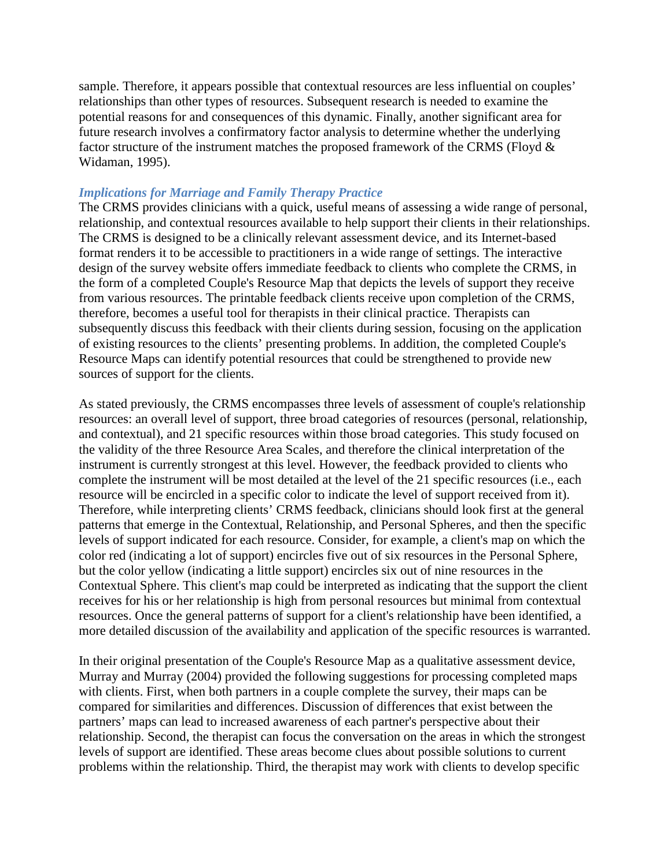sample. Therefore, it appears possible that contextual resources are less influential on couples' relationships than other types of resources. Subsequent research is needed to examine the potential reasons for and consequences of this dynamic. Finally, another significant area for future research involves a confirmatory factor analysis to determine whether the underlying factor structure of the instrument matches the proposed framework of the CRMS (Floyd & Widaman, 1995).

## *Implications for Marriage and Family Therapy Practice*

The CRMS provides clinicians with a quick, useful means of assessing a wide range of personal, relationship, and contextual resources available to help support their clients in their relationships. The CRMS is designed to be a clinically relevant assessment device, and its Internet-based format renders it to be accessible to practitioners in a wide range of settings. The interactive design of the survey website offers immediate feedback to clients who complete the CRMS, in the form of a completed Couple's Resource Map that depicts the levels of support they receive from various resources. The printable feedback clients receive upon completion of the CRMS, therefore, becomes a useful tool for therapists in their clinical practice. Therapists can subsequently discuss this feedback with their clients during session, focusing on the application of existing resources to the clients' presenting problems. In addition, the completed Couple's Resource Maps can identify potential resources that could be strengthened to provide new sources of support for the clients.

As stated previously, the CRMS encompasses three levels of assessment of couple's relationship resources: an overall level of support, three broad categories of resources (personal, relationship, and contextual), and 21 specific resources within those broad categories. This study focused on the validity of the three Resource Area Scales, and therefore the clinical interpretation of the instrument is currently strongest at this level. However, the feedback provided to clients who complete the instrument will be most detailed at the level of the 21 specific resources (i.e., each resource will be encircled in a specific color to indicate the level of support received from it). Therefore, while interpreting clients' CRMS feedback, clinicians should look first at the general patterns that emerge in the Contextual, Relationship, and Personal Spheres, and then the specific levels of support indicated for each resource. Consider, for example, a client's map on which the color red (indicating a lot of support) encircles five out of six resources in the Personal Sphere, but the color yellow (indicating a little support) encircles six out of nine resources in the Contextual Sphere. This client's map could be interpreted as indicating that the support the client receives for his or her relationship is high from personal resources but minimal from contextual resources. Once the general patterns of support for a client's relationship have been identified, a more detailed discussion of the availability and application of the specific resources is warranted.

In their original presentation of the Couple's Resource Map as a qualitative assessment device, Murray and Murray (2004) provided the following suggestions for processing completed maps with clients. First, when both partners in a couple complete the survey, their maps can be compared for similarities and differences. Discussion of differences that exist between the partners' maps can lead to increased awareness of each partner's perspective about their relationship. Second, the therapist can focus the conversation on the areas in which the strongest levels of support are identified. These areas become clues about possible solutions to current problems within the relationship. Third, the therapist may work with clients to develop specific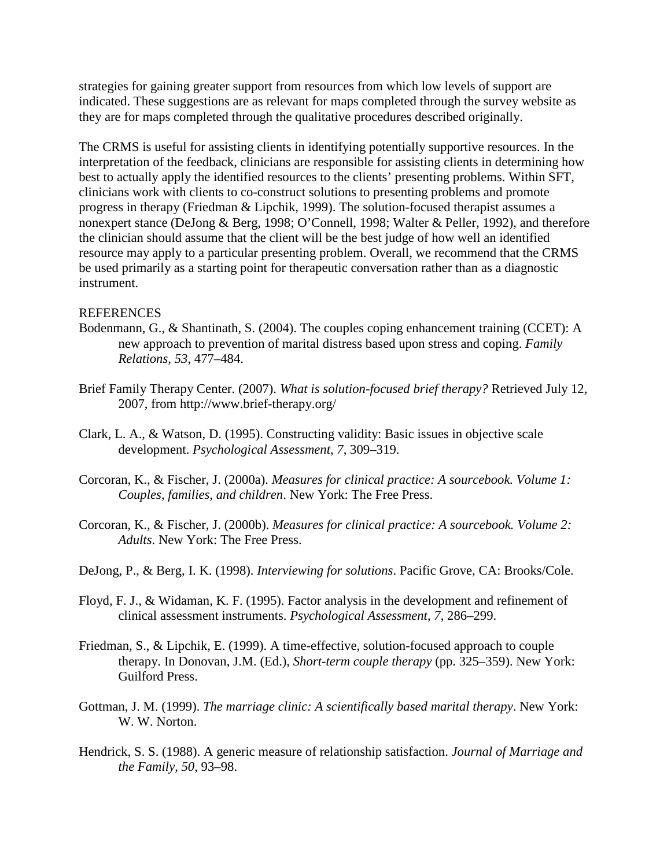strategies for gaining greater support from resources from which low levels of support are indicated. These suggestions are as relevant for maps completed through the survey website as they are for maps completed through the qualitative procedures described originally.

The CRMS is useful for assisting clients in identifying potentially supportive resources. In the interpretation of the feedback, clinicians are responsible for assisting clients in determining how best to actually apply the identified resources to the clients' presenting problems. Within SFT, clinicians work with clients to co-construct solutions to presenting problems and promote progress in therapy (Friedman & Lipchik, 1999). The solution-focused therapist assumes a nonexpert stance (DeJong & Berg, 1998; O'Connell, 1998; Walter & Peller, 1992), and therefore the clinician should assume that the client will be the best judge of how well an identified resource may apply to a particular presenting problem. Overall, we recommend that the CRMS be used primarily as a starting point for therapeutic conversation rather than as a diagnostic instrument.

### **REFERENCES**

- Bodenmann, G., & Shantinath, S. (2004). The couples coping enhancement training (CCET): A new approach to prevention of marital distress based upon stress and coping. *Family Relations*, *53*, 477–484.
- Brief Family Therapy Center. (2007). *What is solution-focused brief therapy?* Retrieved July 12, 2007, from http://www.brief-therapy.org/
- Clark, L. A., & Watson, D. (1995). Constructing validity: Basic issues in objective scale development. *Psychological Assessment*, *7*, 309–319.
- Corcoran, K., & Fischer, J. (2000a). *Measures for clinical practice: A sourcebook. Volume 1: Couples, families, and children*. New York: The Free Press.
- Corcoran, K., & Fischer, J. (2000b). *Measures for clinical practice: A sourcebook. Volume 2: Adults*. New York: The Free Press.
- DeJong, P., & Berg, I. K. (1998). *Interviewing for solutions*. Pacific Grove, CA: Brooks/Cole.
- Floyd, F. J., & Widaman, K. F. (1995). Factor analysis in the development and refinement of clinical assessment instruments. *Psychological Assessment*, *7*, 286–299.
- Friedman, S., & Lipchik, E. (1999). A time-effective, solution-focused approach to couple therapy. In Donovan, J.M. (Ed.), *Short-term couple therapy* (pp. 325–359). New York: Guilford Press.
- Gottman, J. M. (1999). *The marriage clinic: A scientifically based marital therapy*. New York: W. W. Norton.
- Hendrick, S. S. (1988). A generic measure of relationship satisfaction. *Journal of Marriage and the Family, 50*, 93–98.